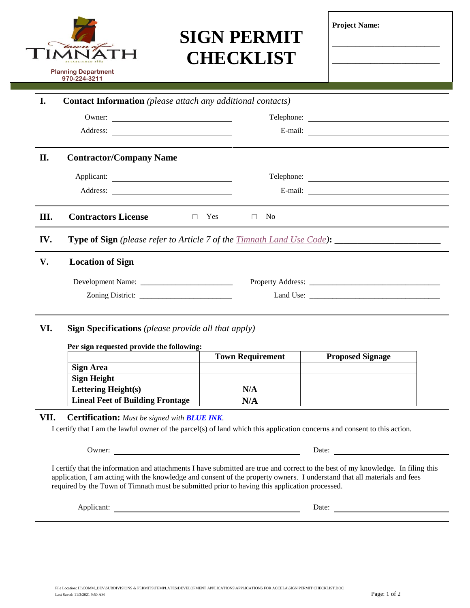# $H$ **Planning Department 970-224-3211**

## **SIGN PERMIT CHECKLIST**

| <b>Project Name:</b> |  |
|----------------------|--|
|----------------------|--|

**\_\_\_\_\_\_\_\_\_\_\_\_\_\_\_\_\_\_\_\_\_\_\_\_\_\_\_\_**

**\_\_\_\_\_\_\_\_\_\_\_\_\_\_\_\_\_\_\_\_\_\_\_\_\_\_\_\_**

| I.   |                                | <b>Contact Information</b> (please attach any additional contacts) |
|------|--------------------------------|--------------------------------------------------------------------|
|      |                                |                                                                    |
|      |                                | E-mail: $\qquad \qquad$                                            |
| П.   | <b>Contractor/Company Name</b> |                                                                    |
|      |                                |                                                                    |
|      |                                | E-mail: $\qquad \qquad$                                            |
| III. | <b>Contractors License</b>     | Yes<br>N <sub>o</sub><br>$\Box$<br>$\Box$                          |
|      |                                |                                                                    |
| IV.  |                                |                                                                    |
| V.   | <b>Location of Sign</b>        |                                                                    |
|      |                                |                                                                    |

### **Per sign requested provide the following:**

|                                         | <b>Town Requirement</b> | <b>Proposed Signage</b> |
|-----------------------------------------|-------------------------|-------------------------|
| <b>Sign Area</b>                        |                         |                         |
| <b>Sign Height</b>                      |                         |                         |
| <b>Lettering Height(s)</b>              | N/A                     |                         |
| <b>Lineal Feet of Building Frontage</b> | N/A                     |                         |

#### **VII. Certification:** *Must be signed with BLUE INK.*

I certify that I am the lawful owner of the parcel(s) of land which this application concerns and consent to this action.

Owner: Date: Date: Date: Date: Date: Date: Date: Date: Date: Date: Date: Date: Date: Date: Date: Date: Date: D

I certify that the information and attachments I have submitted are true and correct to the best of my knowledge. In filing this application, I am acting with the knowledge and consent of the property owners. I understand that all materials and fees required by the Town of Timnath must be submitted prior to having this application processed.

Applicant: Date: Date: